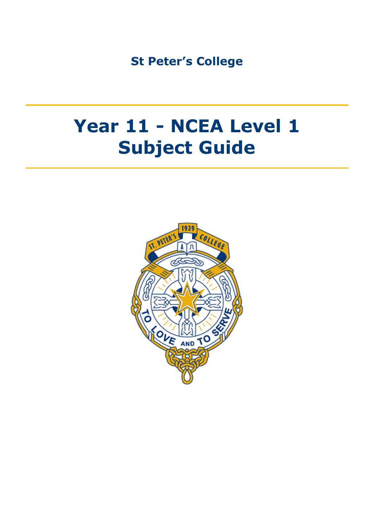**St Peter's College**

# **Year 11 - NCEA Level 1 Subject Guide**

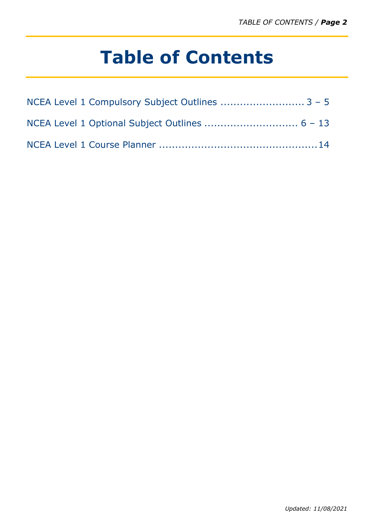# **Table of Contents**

| NCEA Level 1 Compulsory Subject Outlines  3 - 5 |  |
|-------------------------------------------------|--|
|                                                 |  |
|                                                 |  |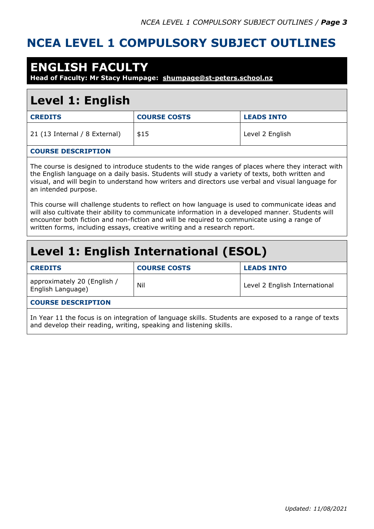#### **NCEA LEVEL 1 COMPULSORY SUBJECT OUTLINES**

#### **ENGLISH FACULTY**

**Head of Faculty: Mr Stacy Humpage: [shumpage@st-peters.school.nz](mailto:shumpage@st-peters.school.nz)**

### **Level 1: English**

| <b>CREDITS</b>                | <b>COURSE COSTS</b> | <b>LEADS INTO</b> |
|-------------------------------|---------------------|-------------------|
| 21 (13 Internal / 8 External) | \$15                | Level 2 English   |
|                               |                     |                   |

#### **COURSE DESCRIPTION**

The course is designed to introduce students to the wide ranges of places where they interact with the English language on a daily basis. Students will study a variety of texts, both written and visual, and will begin to understand how writers and directors use verbal and visual language for an intended purpose.

This course will challenge students to reflect on how language is used to communicate ideas and will also cultivate their ability to communicate information in a developed manner. Students will encounter both fiction and non-fiction and will be required to communicate using a range of written forms, including essays, creative writing and a research report.

### **Level 1: English International (ESOL)**

| <b>CREDITS</b>                                   | <b>COURSE COSTS</b> | <b>LEADS INTO</b>             |
|--------------------------------------------------|---------------------|-------------------------------|
| approximately 20 (English /<br>English Language) | Nil                 | Level 2 English International |
| <b>COURSE DESCRIPTION</b>                        |                     |                               |

In Year 11 the focus is on integration of language skills. Students are exposed to a range of texts and develop their reading, writing, speaking and listening skills.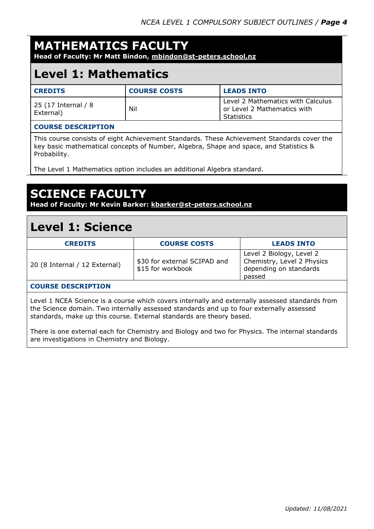### **MATHEMATICS FACULTY**

**Head of Faculty: Mr Matt Bindon, [mbindon@st-peters.school.nz](file:///C:/ALL/Desktop%20Term%203/2021%20Timetable/2021%2011/mbindon@st-peters.school.nz)**

#### **Level 1: Mathematics**

| <b>CREDITS</b>                   | <b>COURSE COSTS</b> | <b>LEADS INTO</b>                                                              |
|----------------------------------|---------------------|--------------------------------------------------------------------------------|
| 25 (17 Internal / 8<br>External) | Nil                 | Level 2 Mathematics with Calculus<br>or Level 2 Mathematics with<br>Statistics |

#### **COURSE DESCRIPTION**

This course consists of eight Achievement Standards. These Achievement Standards cover the key basic mathematical concepts of Number, Algebra, Shape and space, and Statistics & Probability.

The Level 1 Mathematics option includes an additional Algebra standard.

### **SCIENCE FACULTY**

**Head of Faculty: Mr Kevin Barker: [kbarker@st-peters.school.nz](mailto:kbarker@st-peters.school.nz)**

#### **Level 1: Science**

| <b>CREDITS</b>                | <b>COURSE COSTS</b>                               | <b>LEADS INTO</b>                                                                          |
|-------------------------------|---------------------------------------------------|--------------------------------------------------------------------------------------------|
| 20 (8 Internal / 12 External) | \$30 for external SCIPAD and<br>\$15 for workbook | Level 2 Biology, Level 2<br>Chemistry, Level 2 Physics<br>depending on standards<br>passed |
| COUDCE BECCBIBITON            |                                                   |                                                                                            |

#### **COURSE DESCRIPTION**

Level 1 NCEA Science is a course which covers internally and externally assessed standards from the Science domain. Two internally assessed standards and up to four externally assessed standards, make up this course. External standards are theory based.

There is one external each for Chemistry and Biology and two for Physics. The internal standards are investigations in Chemistry and Biology.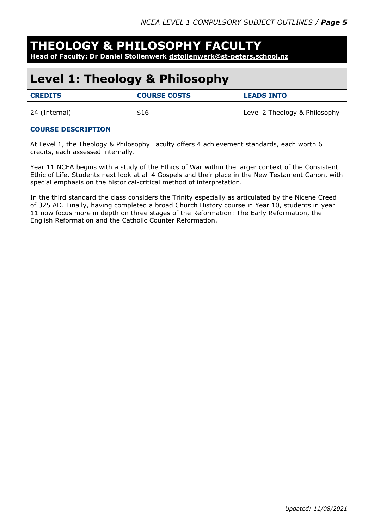### **THEOLOGY & PHILOSOPHY FACULTY**

**Head of Faculty: Dr Daniel Stollenwerk [dstollenwerk@st-peters.school.nz](mailto:dstollenwerk@st-peters.school.nz)**

### **Level 1: Theology & Philosophy**

| <b>CREDITS</b> | <b>COURSE COSTS</b> | <b>LEADS INTO</b>             |
|----------------|---------------------|-------------------------------|
| 24 (Internal)  | \$16                | Level 2 Theology & Philosophy |

#### **COURSE DESCRIPTION**

At Level 1, the Theology & Philosophy Faculty offers 4 achievement standards, each worth 6 credits, each assessed internally.

Year 11 NCEA begins with a study of the Ethics of War within the larger context of the Consistent Ethic of Life. Students next look at all 4 Gospels and their place in the New Testament Canon, with special emphasis on the historical-critical method of interpretation.

In the third standard the class considers the Trinity especially as articulated by the Nicene Creed of 325 AD. Finally, having completed a broad Church History course in Year 10, students in year 11 now focus more in depth on three stages of the Reformation: The Early Reformation, the English Reformation and the Catholic Counter Reformation.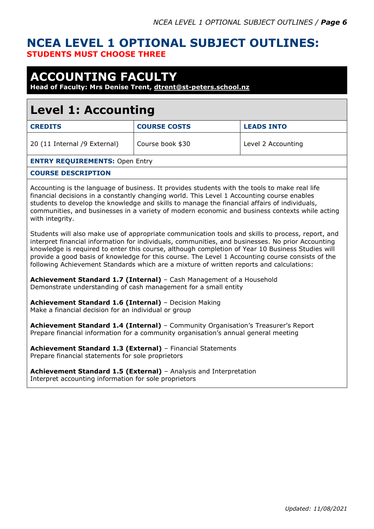#### **NCEA LEVEL 1 OPTIONAL SUBJECT OUTLINES: STUDENTS MUST CHOOSE THREE**

### **ACCOUNTING FACULTY**

**Head of Faculty: Mrs Denise Trent, [dtrent@st-peters.school.nz](mailto:dtrent@st-peters.school.nz)**

### **Level 1: Accounting**

| <b>CREDITS</b>                                                                                                                                                                                                                                                                                                                                                                                                   | <b>COURSE COSTS</b> | <b>LEADS INTO</b>  |
|------------------------------------------------------------------------------------------------------------------------------------------------------------------------------------------------------------------------------------------------------------------------------------------------------------------------------------------------------------------------------------------------------------------|---------------------|--------------------|
| 20 (11 Internal /9 External)                                                                                                                                                                                                                                                                                                                                                                                     | Course book \$30    | Level 2 Accounting |
| <b>ENTRY REQUIREMENTS: Open Entry</b>                                                                                                                                                                                                                                                                                                                                                                            |                     |                    |
| <b>COURSE DESCRIPTION</b>                                                                                                                                                                                                                                                                                                                                                                                        |                     |                    |
| Accounting is the language of business. It provides students with the tools to make real life<br>financial decisions in a constantly changing world. This Level 1 Accounting course enables<br>students to develop the knowledge and skills to manage the financial affairs of individuals,<br>communities, and businesses in a variety of modern economic and business contexts while acting<br>with integrity. |                     |                    |
| Students will also make use of appropriate communication tools and skills to process, report, and                                                                                                                                                                                                                                                                                                                |                     |                    |

interpret financial information for individuals, communities, and businesses. No prior Accounting knowledge is required to enter this course, although completion of Year 10 Business Studies will provide a good basis of knowledge for this course. The Level 1 Accounting course consists of the following Achievement Standards which are a mixture of written reports and calculations:

**Achievement Standard 1.7 (Internal)** – Cash Management of a Household Demonstrate understanding of cash management for a small entity

**Achievement Standard 1.6 (Internal)** – Decision Making Make a financial decision for an individual or group

**Achievement Standard 1.4 (Internal)** – Community Organisation's Treasurer's Report Prepare financial information for a community organisation's annual general meeting

**Achievement Standard 1.3 (External)** – Financial Statements Prepare financial statements for sole proprietors

**Achievement Standard 1.5 (External)** – Analysis and Interpretation Interpret accounting information for sole proprietors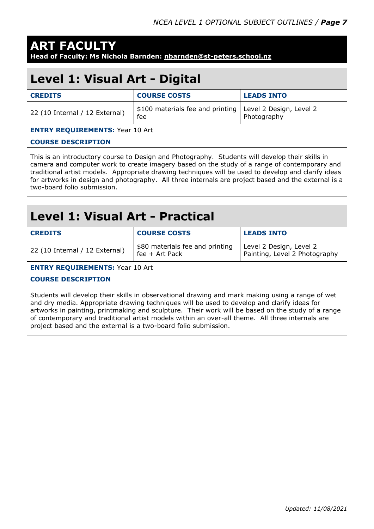## **ART FACULTY**

**Head of Faculty: Ms Nichola Barnden: [nbarnden@st-peters.school.nz](mailto:nbarnden@st-peters.school.nz)**

### **Level 1: Visual Art - Digital**

| <b>CREDITS</b>                         | <b>COURSE COSTS</b>                     | <b>LEADS INTO</b>                      |
|----------------------------------------|-----------------------------------------|----------------------------------------|
| 22 (10 Internal / 12 External)         | \$100 materials fee and printing<br>fee | Level 2 Design, Level 2<br>Photography |
| <b>ENTRY REQUIREMENTS: Year 10 Art</b> |                                         |                                        |
| <b>COURSE DESCRIPTION</b>              |                                         |                                        |

This is an introductory course to Design and Photography. Students will develop their skills in camera and computer work to create imagery based on the study of a range of contemporary and traditional artist models. Appropriate drawing techniques will be used to develop and clarify ideas for artworks in design and photography. All three internals are project based and the external is a two-board folio submission.

### **Level 1: Visual Art - Practical**

| <b>CREDITS</b>                 | <b>COURSE COSTS</b>                                 | <b>LEADS INTO</b>                                        |
|--------------------------------|-----------------------------------------------------|----------------------------------------------------------|
| 22 (10 Internal / 12 External) | \$80 materials fee and printing<br>$fee + Art$ Pack | Level 2 Design, Level 2<br>Painting, Level 2 Photography |

**ENTRY REQUIREMENTS:** Year 10 Art

#### **COURSE DESCRIPTION**

Students will develop their skills in observational drawing and mark making using a range of wet and dry media. Appropriate drawing techniques will be used to develop and clarify ideas for artworks in painting, printmaking and sculpture. Their work will be based on the study of a range of contemporary and traditional artist models within an over-all theme. All three internals are project based and the external is a two-board folio submission.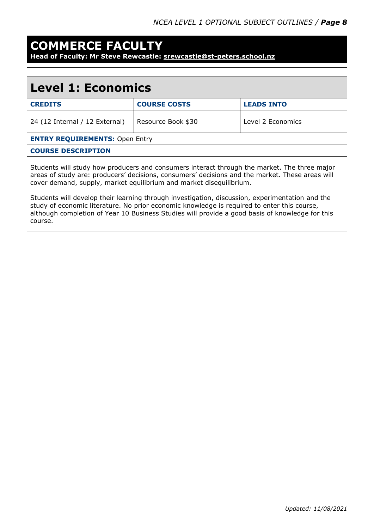### **COMMERCE FACULTY**

**Head of Faculty: Mr Steve Rewcastle: [srewcastle@st-peters.school.nz](mailto:srewcastle@st-peters.school.nz)**

| <b>Level 1: Economics</b>                                                                                                                                                                                                                                                                                    |                     |                   |
|--------------------------------------------------------------------------------------------------------------------------------------------------------------------------------------------------------------------------------------------------------------------------------------------------------------|---------------------|-------------------|
| <b>CREDITS</b>                                                                                                                                                                                                                                                                                               | <b>COURSE COSTS</b> | <b>LEADS INTO</b> |
| 24 (12 Internal / 12 External)                                                                                                                                                                                                                                                                               | Resource Book \$30  | Level 2 Economics |
| <b>ENTRY REQUIREMENTS: Open Entry</b>                                                                                                                                                                                                                                                                        |                     |                   |
| <b>COURSE DESCRIPTION</b>                                                                                                                                                                                                                                                                                    |                     |                   |
| Students will study how producers and consumers interact through the market. The three major<br>areas of study are: producers' decisions, consumers' decisions and the market. These areas will<br>cover demand, supply, market equilibrium and market disequilibrium.                                       |                     |                   |
| Students will develop their learning through investigation, discussion, experimentation and the<br>study of economic literature. No prior economic knowledge is required to enter this course,<br>although completion of Year 10 Business Studies will provide a good basis of knowledge for this<br>course. |                     |                   |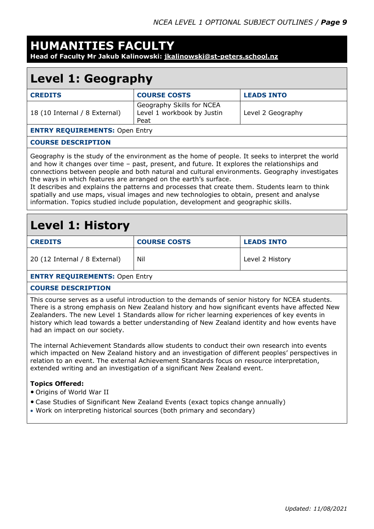#### **HUMANITIES FACULTY**

**Head of Faculty Mr Jakub Kalinowski: [jkalinowski@st-peters.school.nz](mailto:jkalinowski@st-peters.school.nz)**

### **Level 1: Geography**

| <b>CREDITS</b>                        | <b>COURSE COSTS</b>                                             | <b>LEADS INTO</b> |
|---------------------------------------|-----------------------------------------------------------------|-------------------|
| 18 (10 Internal / 8 External)         | Geography Skills for NCEA<br>Level 1 workbook by Justin<br>Peat | Level 2 Geography |
| <b>ENTRY REQUIREMENTS: Open Entry</b> |                                                                 |                   |
| <b>COURSE DESCRIPTION</b>             |                                                                 |                   |

Geography is the study of the environment as the home of people. It seeks to interpret the world and how it changes over time – past, present, and future. It explores the relationships and connections between people and both natural and cultural environments. Geography investigates the ways in which features are arranged on the earth's surface.

It describes and explains the patterns and processes that create them. Students learn to think spatially and use maps, visual images and new technologies to obtain, present and analyse information. Topics studied include population, development and geographic skills.

### **Level 1: History**

| <b>CREDITS</b>                | <b>COURSE COSTS</b> | <b>LEADS INTO</b> |
|-------------------------------|---------------------|-------------------|
| 20 (12 Internal / 8 External) | Nil                 | Level 2 History   |
| FUTBY BEAUTREMENTS OF FUT     |                     |                   |

#### **ENTRY REQUIREMENTS:** Open Entry

#### **COURSE DESCRIPTION**

This course serves as a useful introduction to the demands of senior history for NCEA students. There is a strong emphasis on New Zealand history and how significant events have affected New Zealanders. The new Level 1 Standards allow for richer learning experiences of key events in history which lead towards a better understanding of New Zealand identity and how events have had an impact on our society.

The internal Achievement Standards allow students to conduct their own research into events which impacted on New Zealand history and an investigation of different peoples' perspectives in relation to an event. The external Achievement Standards focus on resource interpretation, extended writing and an investigation of a significant New Zealand event.

#### **Topics Offered:**

- Origins of World War II
- Case Studies of Significant New Zealand Events (exact topics change annually)
- Work on interpreting historical sources (both primary and secondary)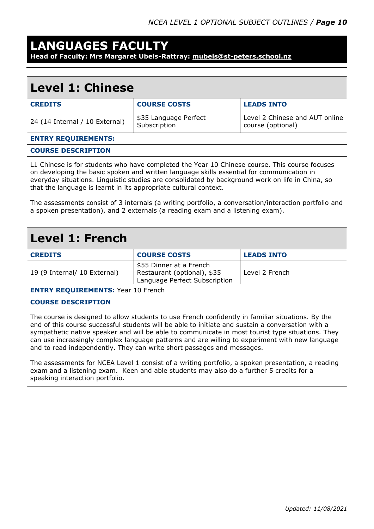#### **LANGUAGES FACULTY**

**Head of Faculty: Mrs Margaret Ubels-Rattray: [mubels@st-peters.school.nz](mailto:mubels@st-peters.school.nz)**

#### **Level 1: Chinese**

| <b>CREDITS</b>                 | <b>COURSE COSTS</b>                   | <b>LEADS INTO</b>                                   |
|--------------------------------|---------------------------------------|-----------------------------------------------------|
| 24 (14 Internal / 10 External) | \$35 Language Perfect<br>Subscription | Level 2 Chinese and AUT online<br>course (optional) |
| <b>ENTRY REQUIREMENTS:</b>     |                                       |                                                     |

#### **COURSE DESCRIPTION**

L1 Chinese is for students who have completed the Year 10 Chinese course. This course focuses on developing the basic spoken and written language skills essential for communication in everyday situations. Linguistic studies are consolidated by background work on life in China, so that the language is learnt in its appropriate cultural context.

The assessments consist of 3 internals (a writing portfolio, a conversation/interaction portfolio and a spoken presentation), and 2 externals (a reading exam and a listening exam).

#### **Level 1: French**

| <b>CREDITS</b>                 | <b>COURSE COSTS</b>                                                                     | <b>LEADS INTO</b> |  |
|--------------------------------|-----------------------------------------------------------------------------------------|-------------------|--|
| 19 (9 Internal/ 10 External)   | \$55 Dinner at a French<br>Restaurant (optional), \$35<br>Language Perfect Subscription | Level 2 French    |  |
| FUERY BEAUTREMENTS, V. JOE. L. |                                                                                         |                   |  |

**ENTRY REQUIREMENTS:** Year 10 French

#### **COURSE DESCRIPTION**

The course is designed to allow students to use French confidently in familiar situations. By the end of this course successful students will be able to initiate and sustain a conversation with a sympathetic native speaker and will be able to communicate in most tourist type situations. They can use increasingly complex language patterns and are willing to experiment with new language and to read independently. They can write short passages and messages.

The assessments for NCEA Level 1 consist of a writing portfolio, a spoken presentation, a reading exam and a listening exam. Keen and able students may also do a further 5 credits for a speaking interaction portfolio.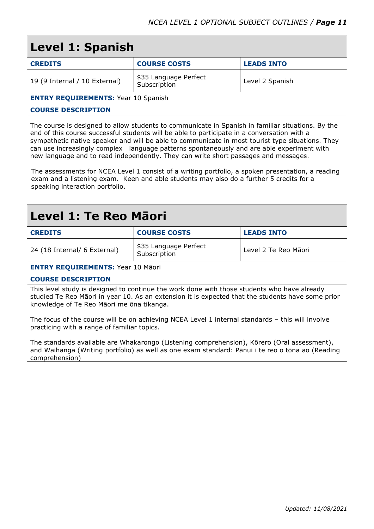| <b>Level 1: Spanish</b>                    |                                       |                   |  |
|--------------------------------------------|---------------------------------------|-------------------|--|
| <b>CREDITS</b>                             | <b>COURSE COSTS</b>                   | <b>LEADS INTO</b> |  |
| 19 (9 Internal / 10 External)              | \$35 Language Perfect<br>Subscription | Level 2 Spanish   |  |
| <b>ENTRY REQUIREMENTS: Year 10 Spanish</b> |                                       |                   |  |
| <b>COURSE DESCRIPTION</b>                  |                                       |                   |  |
|                                            |                                       |                   |  |

The course is designed to allow students to communicate in Spanish in familiar situations. By the end of this course successful students will be able to participate in a conversation with a sympathetic native speaker and will be able to communicate in most tourist type situations. They can use increasingly complex language patterns spontaneously and are able experiment with new language and to read independently. They can write short passages and messages.

The assessments for NCEA Level 1 consist of a writing portfolio, a spoken presentation, a reading exam and a listening exam. Keen and able students may also do a further 5 credits for a speaking interaction portfolio.

#### **Level 1: Te Reo Māori**

| <b>CREDITS</b>               | <b>COURSE COSTS</b>                   | <b>LEADS INTO</b>    |
|------------------------------|---------------------------------------|----------------------|
| 24 (18 Internal/ 6 External) | \$35 Language Perfect<br>Subscription | Level 2 Te Reo Māori |

**ENTRY REQUIREMENTS:** Year 10 Māori

#### **COURSE DESCRIPTION**

This level study is designed to continue the work done with those students who have already studied Te Reo Māori in year 10. As an extension it is expected that the students have some prior knowledge of Te Reo Māori me ōna tikanga.

The focus of the course will be on achieving NCEA Level 1 internal standards – this will involve practicing with a range of familiar topics.

The standards available are Whakarongo (Listening comprehension), Kōrero (Oral assessment), and Waihanga (Writing portfolio) as well as one exam standard: Pānui i te reo o tōna ao (Reading comprehension)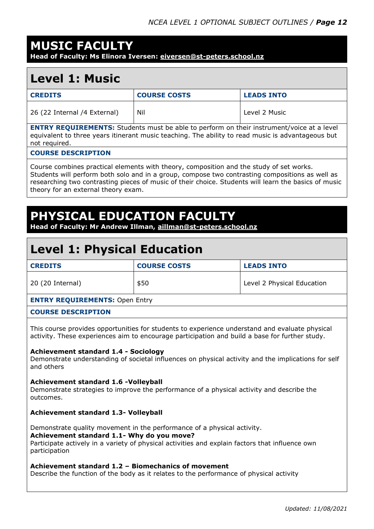### **MUSIC FACULTY**

**Head of Faculty: Ms Elinora Iversen: [eiversen@st-peters.school.nz](mailto:eiversen@st-peters.school.nz)**

#### **Level 1: Music**

| <b>CREDITS</b>               | <b>COURSE COSTS</b> | <b>LEADS INTO</b> |
|------------------------------|---------------------|-------------------|
| 26 (22 Internal /4 External) | Nil                 | Level 2 Music     |

**ENTRY REQUIREMENTS:** Students must be able to perform on their instrument/voice at a level equivalent to three years itinerant music teaching. The ability to read music is advantageous but not required.

#### **COURSE DESCRIPTION**

Course combines practical elements with theory, composition and the study of set works. Students will perform both solo and in a group, compose two contrasting compositions as well as researching two contrasting pieces of music of their choice. Students will learn the basics of music theory for an external theory exam.

### **PHYSICAL EDUCATION FACULT**

**Head of Faculty: Mr Andrew Illman, [aillman@st-peters.school.nz](mailto:aillman@st-peters.school.nz)**

### **Level 1: Physical Education**

| <b>CREDITS</b>                        | <b>COURSE COSTS</b> | <b>LEADS INTO</b>          |
|---------------------------------------|---------------------|----------------------------|
| 20 (20 Internal)                      | \$50                | Level 2 Physical Education |
| <b>ENTRY REQUIREMENTS: Open Entry</b> |                     |                            |
| <b>COURSE DESCRIPTION</b>             |                     |                            |

This course provides opportunities for students to experience understand and evaluate physical activity. These experiences aim to encourage participation and build a base for further study.

#### **Achievement standard 1.4 - Sociology**

Demonstrate understanding of societal influences on physical activity and the implications for self and others

#### **Achievement standard 1.6 -Volleyball**

Demonstrate strategies to improve the performance of a physical activity and describe the outcomes.

#### **Achievement standard 1.3- Volleyball**

Demonstrate quality movement in the performance of a physical activity.

#### **Achievement standard 1.1- Why do you move?**

Participate actively in a variety of physical activities and explain factors that influence own participation

#### **Achievement standard 1.2 – Biomechanics of movement**

Describe the function of the body as it relates to the performance of physical activity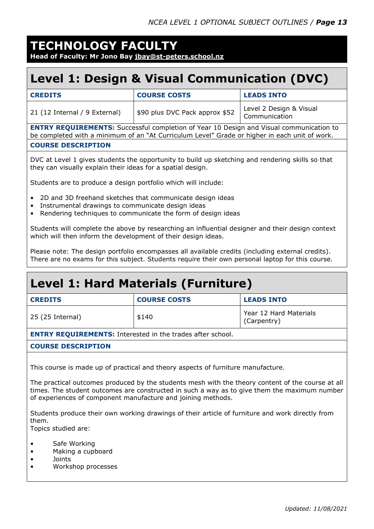#### **TECHNOLOGY FACULTY Head of Faculty: Mr Jono Bay [jbay@st-peters.school.nz](mailto:jbay@st-peters.school.nz)**

### **Level 1: Design & Visual Communication (DVC)**

| <b>CREDITS</b>                | <b>COURSE COSTS</b>            | <b>LEADS INTO</b>                        |
|-------------------------------|--------------------------------|------------------------------------------|
| 21 (12 Internal / 9 External) | \$90 plus DVC Pack approx \$52 | Level 2 Design & Visual<br>Communication |

**ENTRY REQUIREMENTS:** Successful completion of Year 10 Design and Visual communication to be completed with a minimum of an "At Curriculum Level" Grade or higher in each unit of work. **COURSE DESCRIPTION**

DVC at Level 1 gives students the opportunity to build up sketching and rendering skills so that they can visually explain their ideas for a spatial design.

Students are to produce a design portfolio which will include:

- 2D and 3D freehand sketches that communicate design ideas
- Instrumental drawings to communicate design ideas
- Rendering techniques to communicate the form of design ideas

Students will complete the above by researching an influential designer and their design context which will then inform the development of their design ideas.

Please note: The design portfolio encompasses all available credits (including external credits). There are no exams for this subject. Students require their own personal laptop for this course.

### **Level 1: Hard Materials (Furniture)**

| <b>CREDITS</b>   | <b>COURSE COSTS</b> | <b>LEADS INTO</b>                     |  |
|------------------|---------------------|---------------------------------------|--|
| 25 (25 Internal) | \$140               | Year 12 Hard Materials<br>(Carpentry) |  |

**ENTRY REQUIREMENTS:** Interested in the trades after school.

#### **COURSE DESCRIPTION**

This course is made up of practical and theory aspects of furniture manufacture.

The practical outcomes produced by the students mesh with the theory content of the course at all times. The student outcomes are constructed in such a way as to give them the maximum number of experiences of component manufacture and joining methods.

Students produce their own working drawings of their article of furniture and work directly from them.

Topics studied are:

- Safe Working
- Making a cupboard
- Joints
- Workshop processes